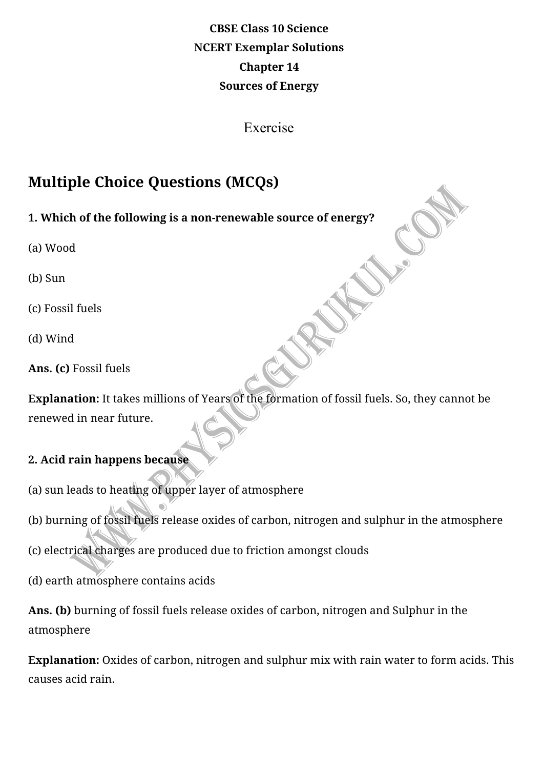# **CBSE Class 10 Science NCERT Exemplar Solutions Chapter 14 Sources of Energy**

Exercise

# **Multiple Choice Questions (MCQs)**

### 1. Which of the following is a non-renewable source of energy?

(a) Wood

(b) Sun

(c) Fossil fuels

(d) Wind

Ans. (c) Fossil fuels

**Explanation:** It takes millions of Years of the formation of fossil fuels. So, they cannot be renewed in near future.

### **2. Acid rain happens because**

(a) sun leads to heating of upper layer of atmosphere

(b) burning of fossil fuels release oxides of carbon, nitrogen and sulphur in the atmosphere

(c) electrical charges are produced due to friction amongst clouds

(d) earth atmosphere contains acids

Ans. (b) burning of fossil fuels release oxides of carbon, nitrogen and Sulphur in the atmosphere

**Explanation:** Oxides of carbon, nitrogen and sulphur mix with rain water to form acids. This causes acid rain.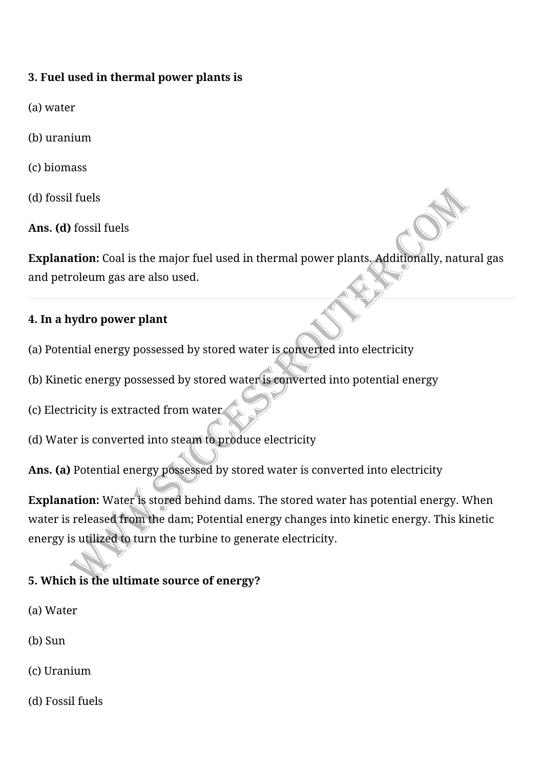### **3. Fuel used in thermal power plants is**

- (a) water
- (b) uranium
- (c) biomass
- (d) fossil fuels
- Ans. **(d)** fossil fuels

**Explanation:** Coal is the major fuel used in thermal power plants. Additionally, natural gas and petroleum gas are also used.

### **4. In a hydro power plant**

- (a) Potential energy possessed by stored water is converted into electricity
- (b) Kinetic energy possessed by stored water is converted into potential energy
- (c) Electricity is extracted from water
- (d) Water is converted into steam to produce electricity
- Ans. (a) Potential energy possessed by stored water is converted into electricity

**Explanation:** Water is stored behind dams. The stored water has potential energy. When water is released from the dam; Potential energy changes into kinetic energy. This kinetic energy is utilized to turn the turbine to generate electricity.

## **5. Which is the ultimate source of energy?**

- (a) Water
- (b) Sun
- (c) Uranium
- (d) Fossil fuels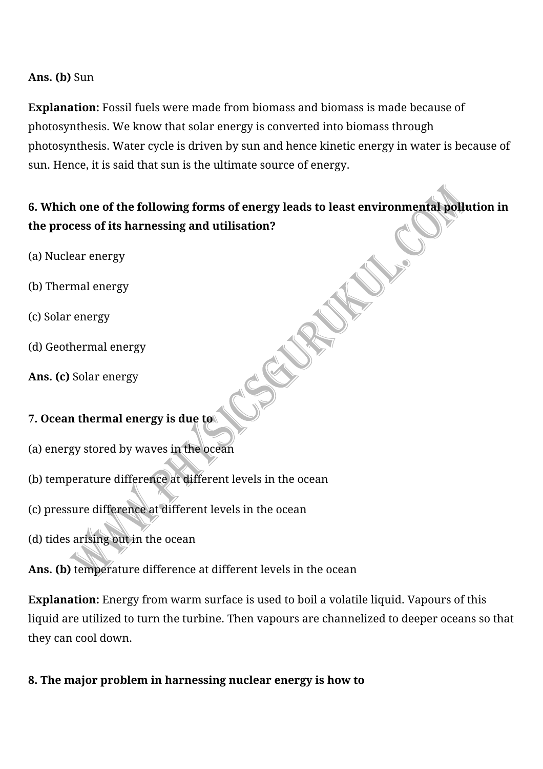#### Ans. **(b)** Sun

**Explanation:** Fossil fuels were made from biomass and biomass is made because of photosynthesis. We know that solar energy is converted into biomass through photosynthesis. Water cycle is driven by sun and hence kinetic energy in water is because of sun. Hence, it is said that sun is the ultimate source of energy.

## 6. Which one of the following forms of energy leads to least environmental pollution in **the process of its harnessing and utilisation?**

- (a) Nuclear energy
- (b) Thermal energy
- (c) Solar energy
- (d) Geothermal energy
- Ans. (c) Solar energy

### **7. Ocean thermal energy is due to**

- (a) energy stored by waves in the ocean
- (b) temperature difference at different levels in the ocean
- (c) pressure difference at different levels in the ocean
- (d) tides arising out in the ocean

### Ans. (b) temperature difference at different levels in the ocean

**Explanation:** Energy from warm surface is used to boil a volatile liquid. Vapours of this liquid are utilized to turn the turbine. Then vapours are channelized to deeper oceans so that they can cool down.

8. The major problem in harnessing nuclear energy is how to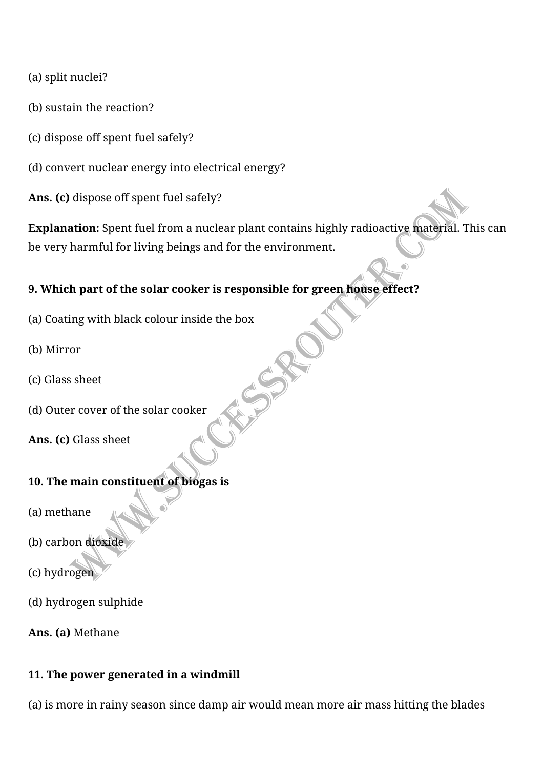(a) split nuclei?

- (b) sustain the reaction?
- (c) dispose off spent fuel safely?

(d) convert nuclear energy into electrical energy?

Ans. (c) dispose off spent fuel safely?

**Explanation:** Spent fuel from a nuclear plant contains highly radioactive material. This can be very harmful for living beings and for the environment.

#### **9. Which part of the solar cooker is responsible for green house effect?**

- (a) Coating with black colour inside the box
- (b) Mirror
- (c) Glass sheet
- (d) Outer cover of the solar cooker

Ans. (c) Glass sheet

#### **10. The main constituent of biogas is**

- (a) methane
- (b) carbon dioxide
- (c) hydrogen
- (d) hydrogen sulphide

Ans. (a) Methane

#### **11. The power generated in a windmill**

(a) is more in rainy season since damp air would mean more air mass hitting the blades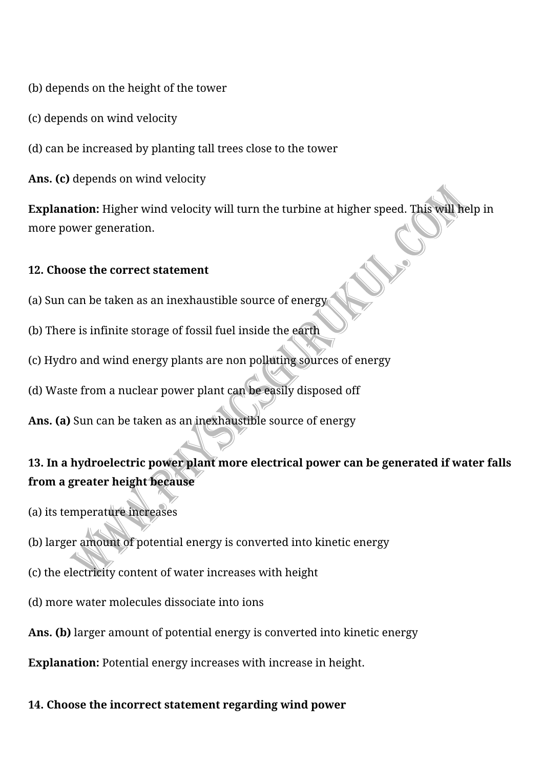(b) depends on the height of the tower

(c) depends on wind velocity

(d) can be increased by planting tall trees close to the tower

Ans. (c) depends on wind velocity

**Explanation:** Higher wind velocity will turn the turbine at higher speed. This will help in more power generation.

#### **12. Choose the correct statement**

- (a) Sun can be taken as an inexhaustible source of energy
- (b) There is infinite storage of fossil fuel inside the earth
- (c) Hydro and wind energy plants are non polluting sources of energy
- (d) Waste from a nuclear power plant can be easily disposed off

Ans. (a) Sun can be taken as an inexhaustible source of energy

## 13. In a hydroelectric power plant more electrical power can be generated if water falls **from a greater height because**

- (a) its temperature increases
- (b) larger amount of potential energy is converted into kinetic energy
- (c) the electricity content of water increases with height
- (d) more water molecules dissociate into ions
- Ans. (b) larger amount of potential energy is converted into kinetic energy

**Explanation:** Potential energy increases with increase in height.

#### 14. Choose the incorrect statement regarding wind power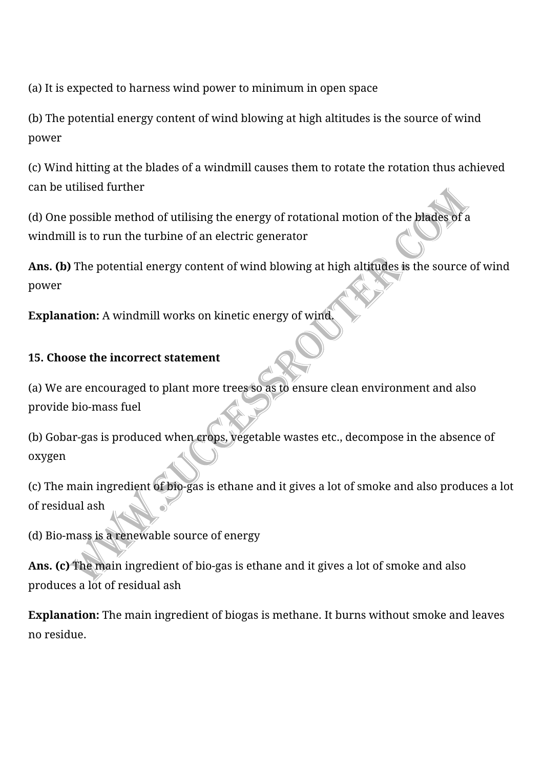(a) It is expected to harness wind power to minimum in open space

(b) The potential energy content of wind blowing at high altitudes is the source of wind power

(c) Wind hitting at the blades of a windmill causes them to rotate the rotation thus achieved can be utilised further

(d) One possible method of utilising the energy of rotational motion of the blades of a windmill is to run the turbine of an electric generator

Ans. (b) The potential energy content of wind blowing at high altitudes is the source of wind power

**Explanation:** A windmill works on kinetic energy of wind.

#### **15. Choose the incorrect statement**

(a) We are encouraged to plant more trees so as to ensure clean environment and also provide bio-mass fuel

(b) Gobar-gas is produced when crops, yegetable wastes etc., decompose in the absence of oxygen

(c) The main ingredient of bio-gas is ethane and it gives a lot of smoke and also produces a lot of residual ash

(d) Bio-mass is a renewable source of energy

Ans. (c) The main ingredient of bio-gas is ethane and it gives a lot of smoke and also produces a lot of residual ash

**Explanation:** The main ingredient of biogas is methane. It burns without smoke and leaves no residue.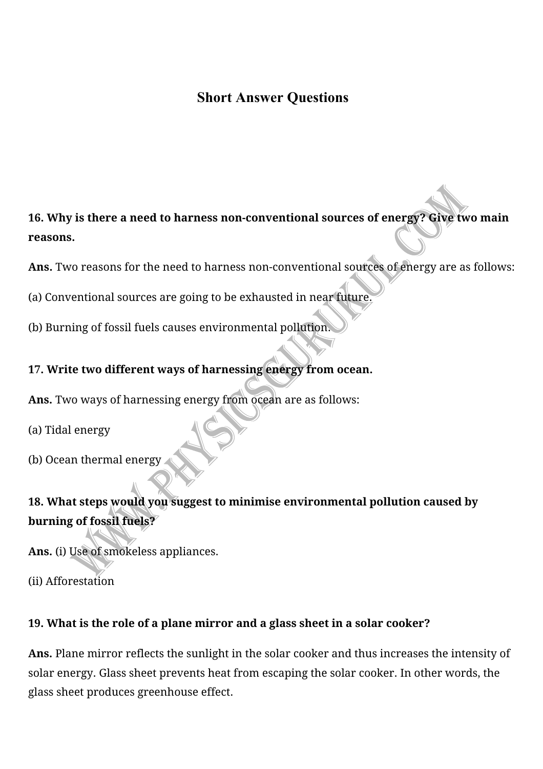## **Short Answer Questions**

16. Why is there a need to harness non-conventional sources of energy? Give two main **reasons.**

- Ans. Two reasons for the need to harness non-conventional sources of energy are as follows:
- (a) Conventional sources are going to be exhausted in near future.
- (b) Burning of fossil fuels causes environmental pollution

### **17. Write two different ways of harnessing energy from ocean.**

- **Ans.** Two ways of harnessing energy from ocean are as follows:
- (a) Tidal energy
- (b) Ocean thermal energy

## 18. What steps would you suggest to minimise environmental pollution caused by **burning of fossil fuels?**

Ans. (i) Use of smokeless appliances.

(ii) Afforestation

### **19. What is the role of a plane mirror and a glass sheet in a solar cooker?**

Ans. Plane mirror reflects the sunlight in the solar cooker and thus increases the intensity of solar energy. Glass sheet prevents heat from escaping the solar cooker. In other words, the glass sheet produces greenhouse effect.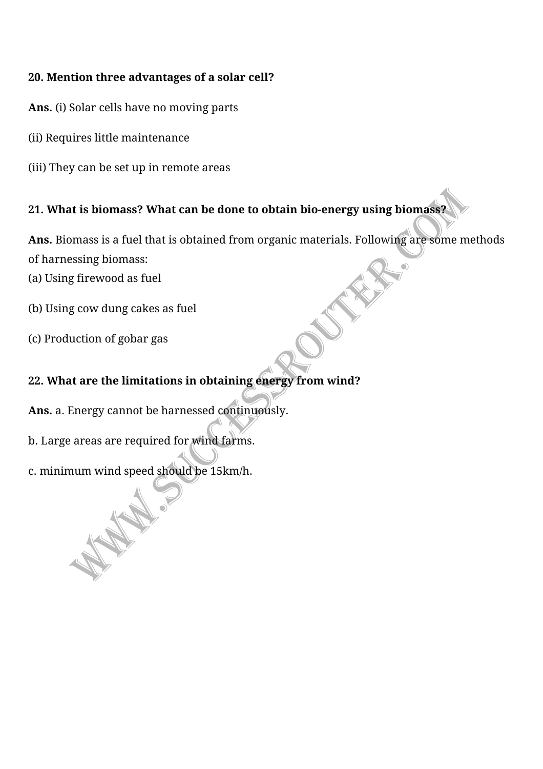#### 20. Mention three advantages of a solar cell?

- Ans. (i) Solar cells have no moving parts
- (ii) Requires little maintenance
- (iii) They can be set up in remote areas

## **21. What is biomass? What can be done to obtain bio-energy using biomass?**

Ans. Biomass is a fuel that is obtained from organic materials. Following are some methods of harnessing biomass:

(a) Using firewood as fuel

(b) Using cow dung cakes as fuel

(c) Production of gobar gas

## 22. What are the limitations in obtaining energy from wind?

Ans. a. Energy cannot be harnessed continuously.

- b. Large areas are required for wind farms.
- c. minimum wind speed should be 15km/h.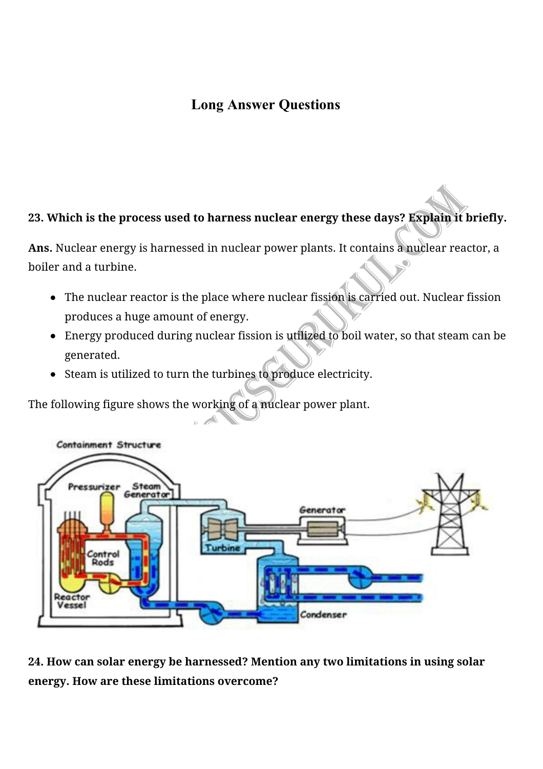## **Long Answer Questions**

#### 23. Which is the process used to harness nuclear energy these days? Explain it briefly.

Ans. Nuclear energy is harnessed in nuclear power plants. It contains a nuclear reactor, a boiler and a turbine.

- $\bullet$  The nuclear reactor is the place where nuclear fission is carried out. Nuclear fission produces a huge amount of energy.
- Energy produced during nuclear fission is utilized to boil water, so that steam can be generated.
- Steam is utilized to turn the turbines to produce electricity.

The following figure shows the working of a nuclear power plant.  $\mathbf{A}$ 



24. How can solar energy be harnessed? Mention any two limitations in using solar **energy. How are these limitations overcome?**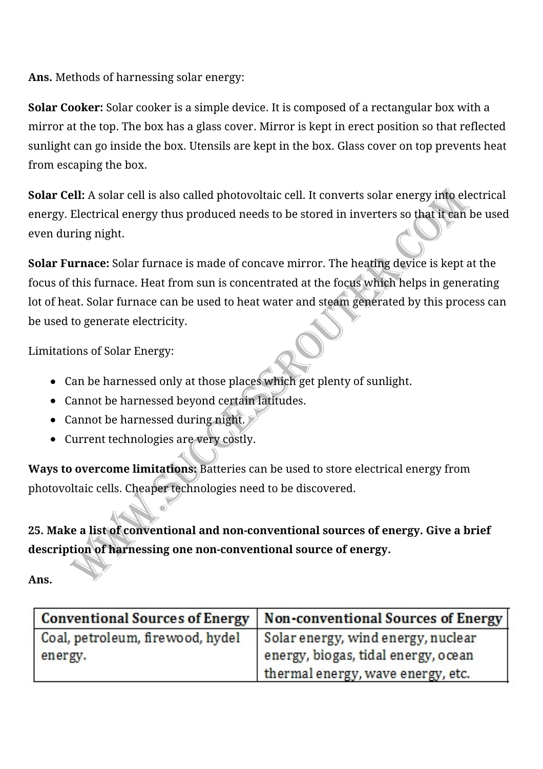Ans. Methods of harnessing solar energy:

**Solar Cooker:** Solar cooker is a simple device. It is composed of a rectangular box with a mirror at the top. The box has a glass cover. Mirror is kept in erect position so that reflected sunlight can go inside the box. Utensils are kept in the box. Glass cover on top prevents heat from escaping the box.

**Solar Cell:** A solar cell is also called photovoltaic cell. It converts solar energy into electrical energy. Electrical energy thus produced needs to be stored in inverters so that it can be used even during night.

**Solar Furnace:** Solar furnace is made of concave mirror. The heating device is kept at the focus of this furnace. Heat from sun is concentrated at the focus which helps in generating lot of heat. Solar furnace can be used to heat water and steam generated by this process can be used to generate electricity.

Limitations of Solar Energy:

- Can be harnessed only at those places which get plenty of sunlight.
- Cannot be harnessed beyond certain latitudes.
- $\bullet$  Cannot be harnessed during night.
- Current technologies are very costly.

**Ways to overcome limitations:** Batteries can be used to store electrical energy from photovoltaic cells. Cheaper technologies need to be discovered.

25. Make a list of conventional and non-conventional sources of energy. Give a brief description of harnessing one non-conventional source of energy.

**Ans.**

| <b>Conventional Sources of Energy</b> | Non-conventional Sources of Energy  |
|---------------------------------------|-------------------------------------|
| Coal, petroleum, firewood, hydel      | Solar energy, wind energy, nuclear  |
| energy.                               | energy, biogas, tidal energy, ocean |
|                                       | thermal energy, wave energy, etc.   |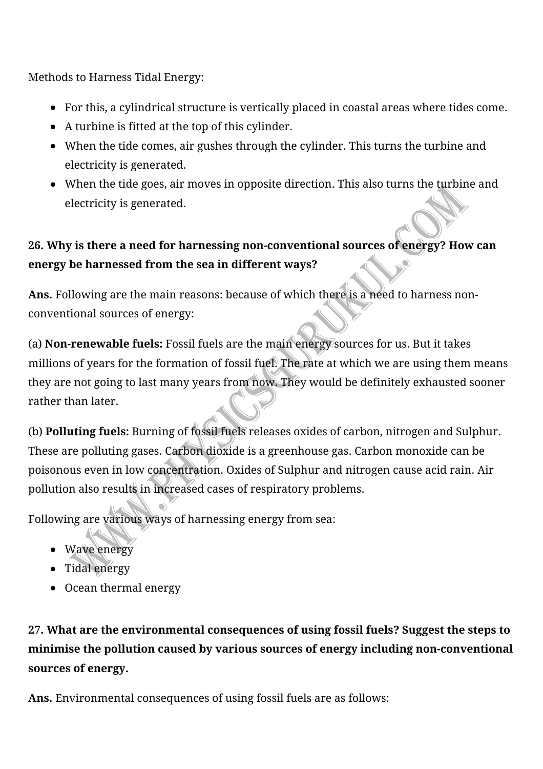Methods to Harness Tidal Energy:

- For this, a cylindrical structure is vertically placed in coastal areas where tides come.
- $\bullet$  A turbine is fitted at the top of this cylinder.
- When the tide comes, air gushes through the cylinder. This turns the turbine and electricity is generated.
- When the tide goes, air moves in opposite direction. This also turns the turbine and electricity is generated.

# **26. Why is there a need for harnessing non-conventional sources of energy? How can energy be harnessed from the sea in different ways?**

**Ans.** Following are the main reasons: because of which there is a need to harness nonconventional sources of energy:

(a) **Non-renewable fuels:** Fossil fuels are the main energy sources for us. But it takes millions of years for the formation of fossil fuel. The rate at which we are using them means they are not going to last many years from now. They would be definitely exhausted sooner rather than later.

(b) **Polluting fuels:** Burning of fossil fuels releases oxides of carbon, nitrogen and Sulphur. These are polluting gases. Carbon dioxide is a greenhouse gas. Carbon monoxide can be poisonous even in low concentration. Oxides of Sulphur and nitrogen cause acid rain. Air pollution also results in increased cases of respiratory problems.

Following are various ways of harnessing energy from sea:

- Wave energy
- Tidal energy
- Ocean thermal energy

# **27. What are the environmental consequences of using fossil fuels? Suggest the steps to** minimise the pollution caused by various sources of energy including non-conventional sources of energy.

Ans. Environmental consequences of using fossil fuels are as follows: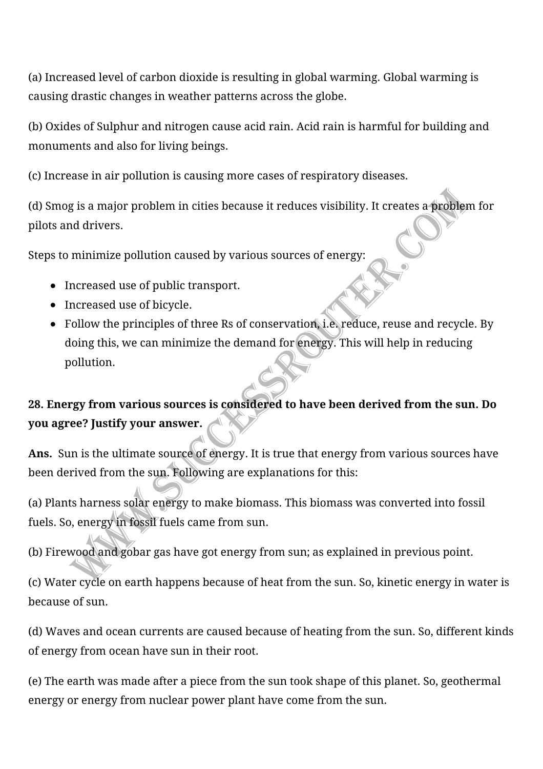(a) Increased level of carbon dioxide is resulting in global warming. Global warming is causing drastic changes in weather patterns across the globe.

(b) Oxides of Sulphur and nitrogen cause acid rain. Acid rain is harmful for building and monuments and also for living beings.

(c) Increase in air pollution is causing more cases of respiratory diseases.

(d) Smog is a major problem in cities because it reduces visibility. It creates a problem for pilots and drivers.

Steps to minimize pollution caused by various sources of energy:

- Increased use of public transport.
- Increased use of bicycle.
- Follow the principles of three Rs of conservation, i.e. reduce, reuse and recycle. By doing this, we can minimize the demand for energy. This will help in reducing pollution.

## **28. Energy from various sources is considered to have been derived from the sun. Do you agree? Justify your answer.**

Ans. Sun is the ultimate source of energy. It is true that energy from various sources have been derived from the sun. Following are explanations for this:

(a) Plants harness solar energy to make biomass. This biomass was converted into fossil fuels. So, energy in fossil fuels came from sun.

(b) Firewood and gobar gas have got energy from sun; as explained in previous point.

(c) Water cycle on earth happens because of heat from the sun. So, kinetic energy in water is because of sun.

(d) Waves and ocean currents are caused because of heating from the sun. So, different kinds of energy from ocean have sun in their root.

(e) The earth was made after a piece from the sun took shape of this planet. So, geothermal energy or energy from nuclear power plant have come from the sun.